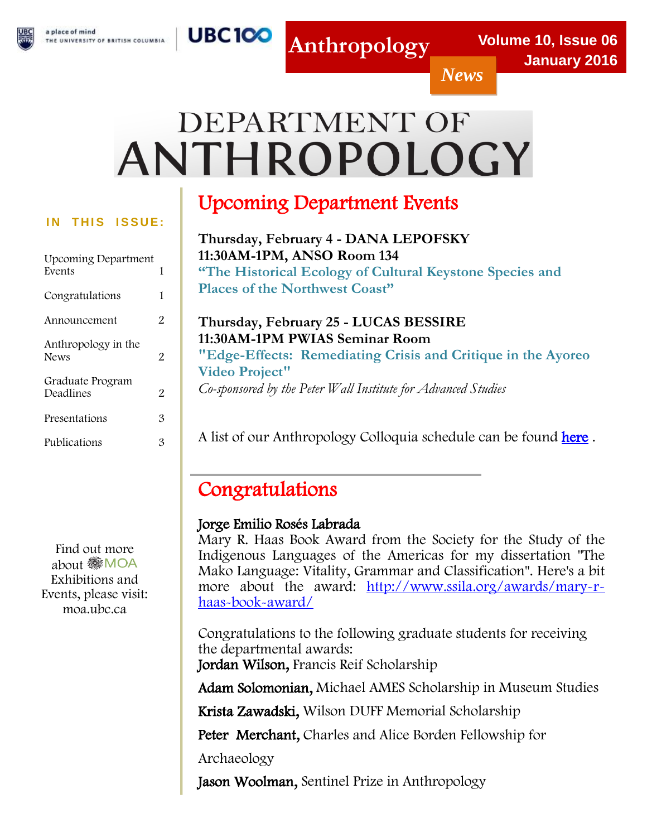*News*

# DEPARTMENT OF ANTHROPOLOGY

**UBC100** 

#### **IN THIS ISSUE:**

| <b>Upcoming Department</b><br>Events | 1 |
|--------------------------------------|---|
| Congratulations                      | 1 |
| Announcement                         | 2 |
| Anthropology in the<br><b>News</b>   | 2 |
| Graduate Program<br>Deadlines        | 2 |
| Presentations                        | 3 |
| Publications                         | З |

Find out more about MOA Exhibitions and Events, please visit: moa.ubc.ca

## Upcoming Department Events

**Thursday, February 4 - DANA LEPOFSKY 11:30AM-1PM, ANSO Room 134 "The Historical Ecology of Cultural Keystone Species and Places of the Northwest Coast"**

### **Thursday, February 25 - LUCAS BESSIRE 11:30AM-1PM PWIAS Seminar Room "Edge-Effects: Remediating Crisis and Critique in the Ayoreo Video Project"** *Co-sponsored by the Peter Wall Institute for Advanced Studies*

A list of our Anthropology Colloquia schedule can be found [here](http://anth.ubc.ca/community/colloquia/2015-2015-departmental-colloquium/).

### Congratulations

### Jorge Emilio Rosés Labrada

Mary R. Haas Book Award from the Society for the Study of the Indigenous Languages of the Americas for my dissertation "The Mako Language: Vitality, Grammar and Classification". Here's a bit more about the award: [http://www.ssila.org/awards/mary-r](http://www.ssila.org/awards/mary-r-haas-book-award/)[haas-book-award/](http://www.ssila.org/awards/mary-r-haas-book-award/)

Congratulations to the following graduate students for receiving the departmental awards: Jordan Wilson, Francis Reif Scholarship

Adam Solomonian, Michael AMES Scholarship in Museum Studies

Krista Zawadski, Wilson DUFF Memorial Scholarship

Peter Merchant, Charles and Alice Borden Fellowship for

Archaeology

Jason Woolman, Sentinel Prize in Anthropology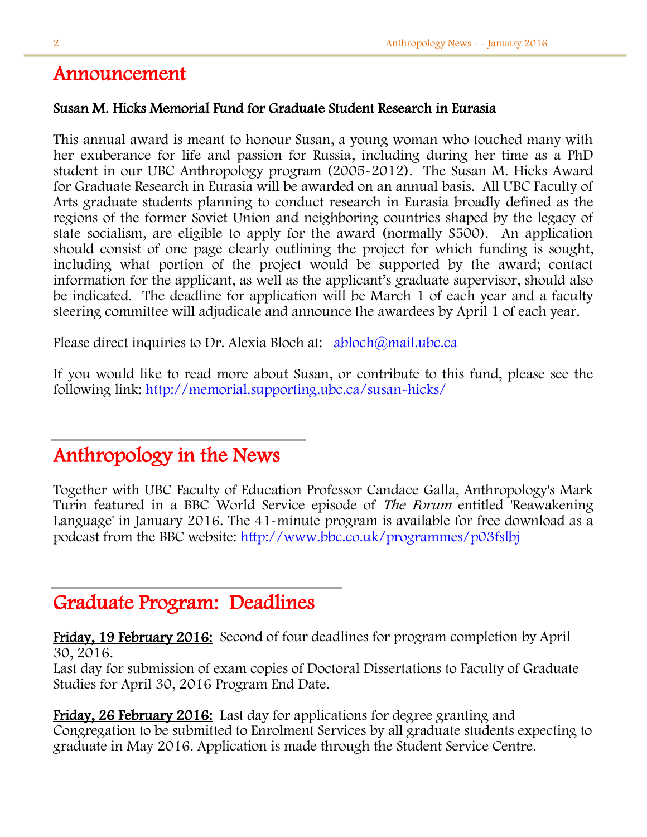### Announcement

### Susan M. Hicks Memorial Fund for Graduate Student Research in Eurasia

This annual award is meant to honour Susan, a young woman who touched many with her exuberance for life and passion for Russia, including during her time as a PhD student in our UBC Anthropology program (2005-2012). The Susan M. Hicks Award for Graduate Research in Eurasia will be awarded on an annual basis. All UBC Faculty of Arts graduate students planning to conduct research in Eurasia broadly defined as the regions of the former Soviet Union and neighboring countries shaped by the legacy of state socialism, are eligible to apply for the award (normally \$500). An application should consist of one page clearly outlining the project for which funding is sought, including what portion of the project would be supported by the award; contact information for the applicant, as well as the applicant's graduate supervisor, should also be indicated. The deadline for application will be March 1 of each year and a faculty steering committee will adjudicate and announce the awardees by April 1 of each year.

Please direct inquiries to Dr. Alexia Bloch at: [abloch@mail.ubc.ca](mailto:abloch@mail.ubc.ca)

If you would like to read more about Susan, or contribute to this fund, please see the following link: <http://memorial.supporting.ubc.ca/susan-hicks/>

### Anthropology in the News

Together with UBC Faculty of Education Professor Candace Galla, Anthropology's Mark Turin featured in a BBC World Service episode of The Forum entitled 'Reawakening Language' in January 2016. The 41-minute program is available for free download as a podcast from the BBC website:<http://www.bbc.co.uk/programmes/p03fslbj>

### Graduate Program: Deadlines

Friday, 19 February 2016: Second of four deadlines for program completion by April 30, 2016.

Last day for submission of exam copies of Doctoral Dissertations to Faculty of Graduate Studies for April 30, 2016 Program End Date.

Friday, 26 February 2016: Last day for applications for degree granting and Congregation to be submitted to Enrolment Services by all graduate students expecting to graduate in May 2016. Application is made through the Student Service Centre.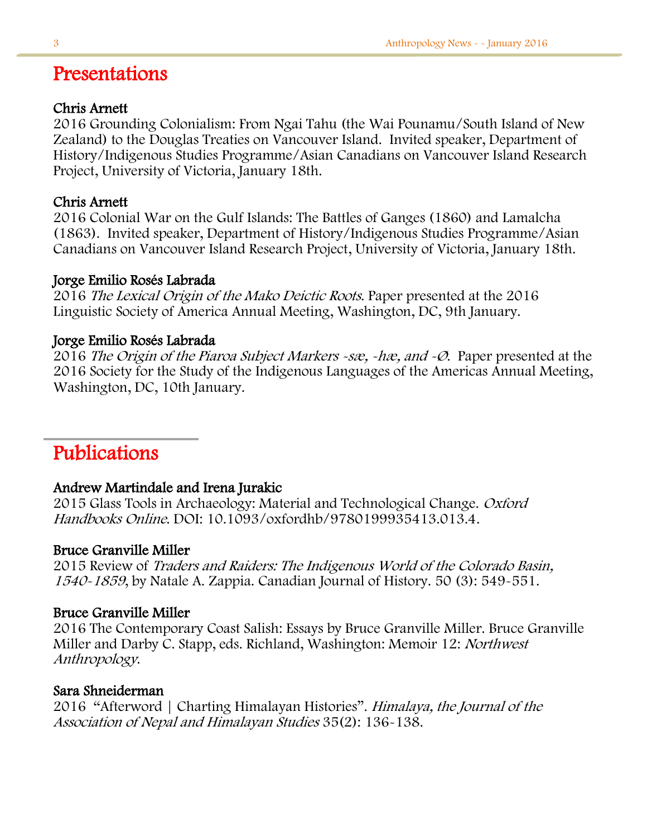### Presentations

#### Chris Arnett

2016 Grounding Colonialism: From Ngai Tahu (the Wai Pounamu/South Island of New Zealand) to the Douglas Treaties on Vancouver Island. Invited speaker, Department of History/Indigenous Studies Programme/Asian Canadians on Vancouver Island Research Project, University of Victoria, January 18th.

### Chris Arnett

2016 Colonial War on the Gulf Islands: The Battles of Ganges (1860) and Lamalcha (1863). Invited speaker, Department of History/Indigenous Studies Programme/Asian Canadians on Vancouver Island Research Project, University of Victoria, January 18th.

#### Jorge Emilio Rosés Labrada

2016 The Lexical Origin of the Mako Deictic Roots. Paper presented at the 2016 Linguistic Society of America Annual Meeting, Washington, DC, 9th January.

### Jorge Emilio Rosés Labrada

2016 The Origin of the Piaroa Subject Markers -sæ, -hæ, and -Ø. Paper presented at the 2016 Society for the Study of the Indigenous Languages of the Americas Annual Meeting, Washington, DC, 10th January.

### Publications

### Andrew Martindale and Irena Jurakic

2015 Glass Tools in Archaeology: Material and Technological Change. Oxford Handbooks Online. DOI: 10.1093/oxfordhb/9780199935413.013.4.

### Bruce Granville Miller

2015 Review of Traders and Raiders: The Indigenous World of the Colorado Basin, 1540-1859, by Natale A. Zappia. Canadian Journal of History. 50 (3): 549-551.

### Bruce Granville Miller

2016 The Contemporary Coast Salish: Essays by Bruce Granville Miller. Bruce Granville Miller and Darby C. Stapp, eds. Richland, Washington: Memoir 12: Northwest Anthropology.

### Sara Shneiderman

2016 "Afterword | Charting Himalayan Histories". Himalaya, the Journal of the Association of Nepal and Himalayan Studies 35(2): 136-138.